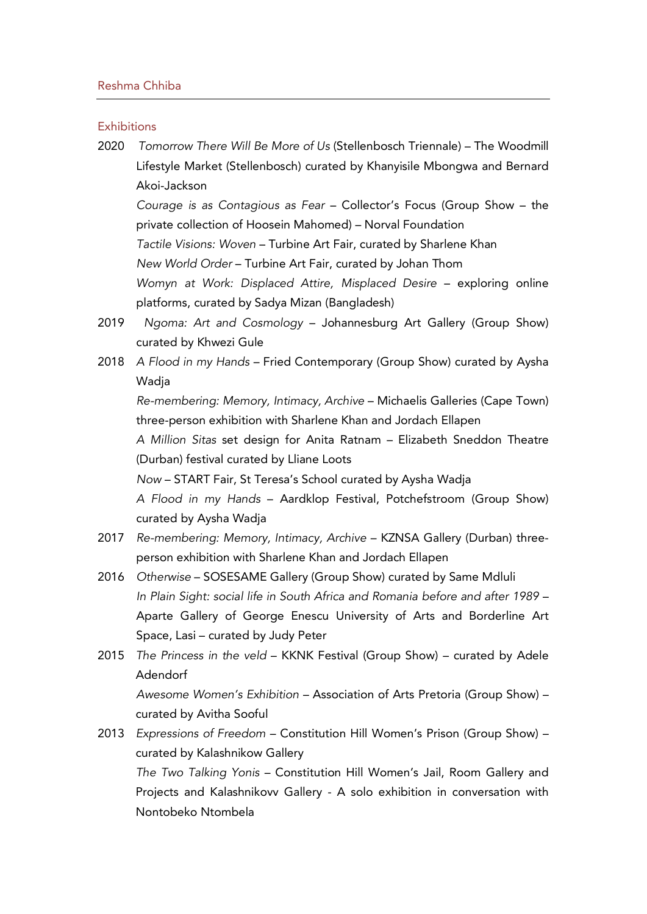#### **Exhibitions**

2020 *Tomorrow There Will Be More of Us* (Stellenbosch Triennale) – The Woodmill Lifestyle Market (Stellenbosch) curated by Khanyisile Mbongwa and Bernard Akoi-Jackson

*Courage is as Contagious as Fear* – Collector's Focus (Group Show – the private collection of Hoosein Mahomed) – Norval Foundation

- *Tactile Visions: Woven* Turbine Art Fair, curated by Sharlene Khan
- *New World Order* Turbine Art Fair, curated by Johan Thom

*Womyn at Work: Displaced Attire, Misplaced Desire* – exploring online platforms, curated by Sadya Mizan (Bangladesh)

- 2019 *Ngoma: Art and Cosmology* Johannesburg Art Gallery (Group Show) curated by Khwezi Gule
- 2018 *A Flood in my Hands* Fried Contemporary (Group Show) curated by Aysha Wadia

*Re-membering: Memory, Intimacy, Archive* – Michaelis Galleries (Cape Town) three-person exhibition with Sharlene Khan and Jordach Ellapen

*A Million Sitas* set design for Anita Ratnam – Elizabeth Sneddon Theatre (Durban) festival curated by Lliane Loots

*Now* – START Fair, St Teresa's School curated by Aysha Wadja

*A Flood in my Hands* – Aardklop Festival, Potchefstroom (Group Show) curated by Aysha Wadja

- 2017 *Re-membering: Memory, Intimacy, Archive* KZNSA Gallery (Durban) threeperson exhibition with Sharlene Khan and Jordach Ellapen
- 2016 *Otherwise* SOSESAME Gallery (Group Show) curated by Same Mdluli *In Plain Sight: social life in South Africa and Romania before and after 1989* – Aparte Gallery of George Enescu University of Arts and Borderline Art Space, Lasi – curated by Judy Peter
- 2015 *The Princess in the veld* KKNK Festival (Group Show) curated by Adele Adendorf

*Awesome Women's Exhibition* – Association of Arts Pretoria (Group Show) – curated by Avitha Sooful

2013 *Expressions of Freedom* – Constitution Hill Women's Prison (Group Show) – curated by Kalashnikow Gallery

*The Two Talking Yonis* – Constitution Hill Women's Jail, Room Gallery and Projects and Kalashnikovv Gallery - A solo exhibition in conversation with Nontobeko Ntombela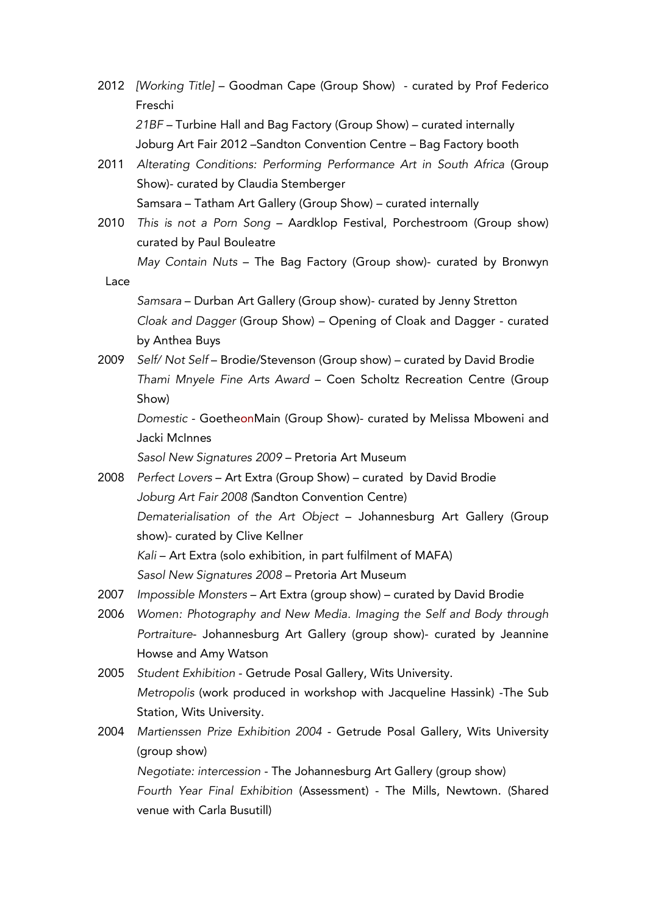- 2012 *[Working Title]* Goodman Cape (Group Show) curated by Prof Federico Freschi *21BF* – Turbine Hall and Bag Factory (Group Show) – curated internally Joburg Art Fair 2012 –Sandton Convention Centre – Bag Factory booth
- 2011 *Alterating Conditions: Performing Performance Art in South Africa* (Group Show)- curated by Claudia Stemberger Samsara – Tatham Art Gallery (Group Show) – curated internally
- 2010 *This is not a Porn Song* Aardklop Festival, Porchestroom (Group show) curated by Paul Bouleatre

*May Contain Nuts* – The Bag Factory (Group show)- curated by Bronwyn Lace

*Samsara* – Durban Art Gallery (Group show)- curated by Jenny Stretton *Cloak and Dagger* (Group Show) – Opening of Cloak and Dagger - curated by Anthea Buys

2009 *Self/ Not Self* – Brodie/Stevenson (Group show) – curated by David Brodie *Thami Mnyele Fine Arts Award* – Coen Scholtz Recreation Centre (Group Show)

*Domestic* - GoetheonMain (Group Show)- curated by Melissa Mboweni and Jacki McInnes

*Sasol New Signatures 2009* – Pretoria Art Museum

- 2008 *Perfect Lovers* Art Extra (Group Show) curated by David Brodie *Joburg Art Fair 2008 (*Sandton Convention Centre) *Dematerialisation of the Art Object* – Johannesburg Art Gallery (Group show)- curated by Clive Kellner *Kali* – Art Extra (solo exhibition, in part fulfilment of MAFA) *Sasol New Signatures 2008* – Pretoria Art Museum
- 2007 *Impossible Monsters* Art Extra (group show) curated by David Brodie
- 2006 *Women: Photography and New Media. Imaging the Self and Body through Portraiture*- Johannesburg Art Gallery (group show)- curated by Jeannine Howse and Amy Watson
- 2005 *Student Exhibition* Getrude Posal Gallery, Wits University. *Metropolis* (work produced in workshop with Jacqueline Hassink) -The Sub Station, Wits University.
- 2004 *Martienssen Prize Exhibition 2004* Getrude Posal Gallery, Wits University (group show)

*Negotiate: intercession* - The Johannesburg Art Gallery (group show) *Fourth Year Final Exhibition* (Assessment) - The Mills, Newtown. (Shared venue with Carla Busutill)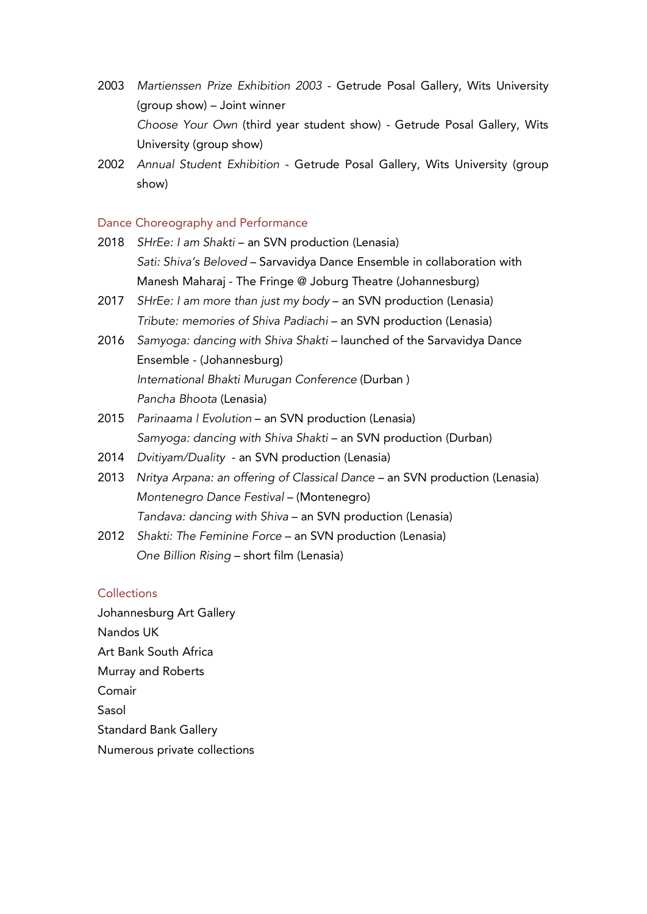- 2003 *Martienssen Prize Exhibition 2003* Getrude Posal Gallery, Wits University (group show) – Joint winner *Choose Your Own* (third year student show) - Getrude Posal Gallery, Wits University (group show)
- 2002 *Annual Student Exhibition* Getrude Posal Gallery, Wits University (group show)

### Dance Choreography and Performance

- 2018 *SHrEe: I am Shakti* an SVN production (Lenasia) *Sati: Shiva's Beloved* – Sarvavidya Dance Ensemble in collaboration with Manesh Maharaj - The Fringe @ Joburg Theatre (Johannesburg)
- 2017 *SHrEe: I am more than just my body* an SVN production (Lenasia) *Tribute: memories of Shiva Padiachi* – an SVN production (Lenasia)
- 2016 *Samyoga: dancing with Shiva Shakti* launched of the Sarvavidya Dance Ensemble - (Johannesburg) *International Bhakti Murugan Conference* (Durban ) *Pancha Bhoota* (Lenasia)
- 2015 *Parinaama | Evolution* an SVN production (Lenasia) *Samyoga: dancing with Shiva Shakti* – an SVN production (Durban)
- 2014 *Dvitiyam/Duality* an SVN production (Lenasia)
- 2013 *Nritya Arpana: an offering of Classical Dance* an SVN production (Lenasia) *Montenegro Dance Festival* – (Montenegro) *Tandava: dancing with Shiva* – an SVN production (Lenasia)
- 2012 *Shakti: The Feminine Force* an SVN production (Lenasia) *One Billion Rising* – short film (Lenasia)

# **Collections**

Johannesburg Art Gallery Nandos UK Art Bank South Africa Murray and Roberts Comair Sasol Standard Bank Gallery Numerous private collections